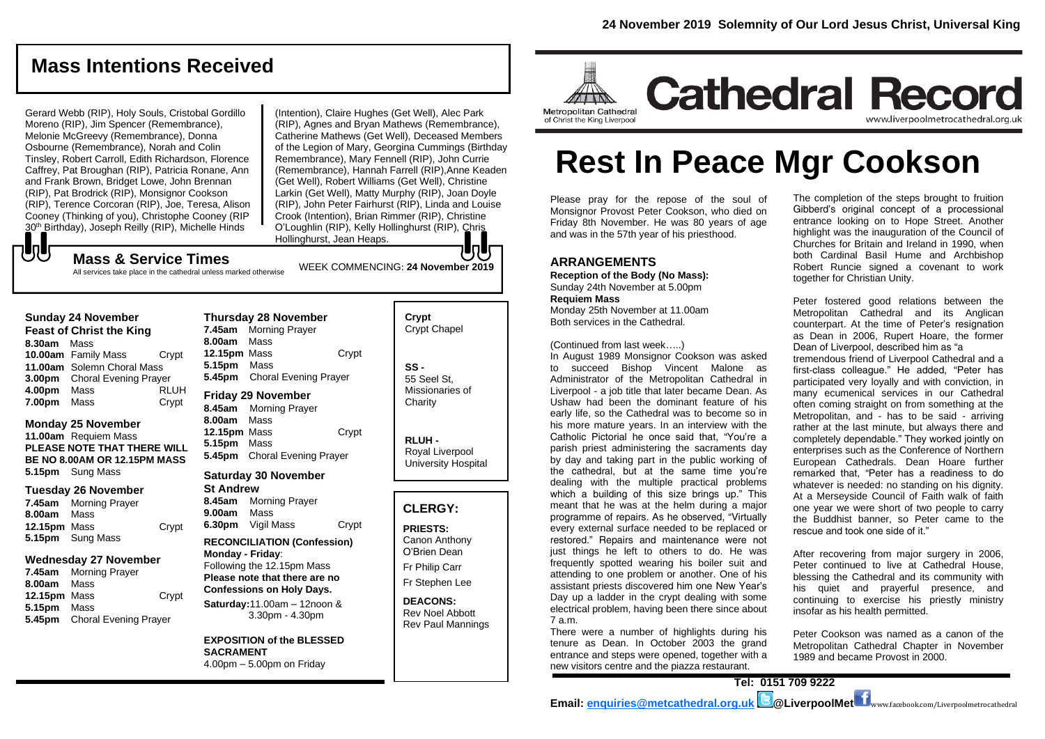## **Mass Intentions Received**

Gerard Webb (RIP), Holy Souls, Cristobal Gordillo Moreno (RIP), Jim Spencer (Remembrance), Melonie McGreevy (Remembrance), Donna Osbourne (Remembrance), Norah and Colin Tinsley, Robert Carroll, Edith Richardson, Florence Caffrey, Pat Broughan (RIP), Patricia Ronane, Ann and Frank Brown, Bridget Lowe, John Brennan (RIP), Pat Brodrick (RIP), Monsignor Cookson (RIP), Terence Corcoran (RIP), Joe, Teresa, Alison Cooney (Thinking of you), Christophe Cooney (RIP 30<sup>th</sup> Birthday), Joseph Reilly (RIP), Michelle Hinds

(Intention), Claire Hughes (Get Well), Alec Park (RIP), Agnes and Bryan Mathews (Remembrance), Catherine Mathews (Get Well), Deceased Members of the Legion of Mary, Georgina Cummings (Birthday Remembrance), Mary Fennell (RIP), John Currie (Remembrance), Hannah Farrell (RIP),Anne Keaden (Get Well), Robert Williams (Get Well), Christine Larkin (Get Well), Matty Murphy (RIP), Joan Doyle (RIP), John Peter Fairhurst (RIP), Linda and Louise Crook (Intention), Brian Rimmer (RIP), Christine O'Loughlin (RIP), Kelly Hollinghurst (RIP), Chris Hollinghurst, Jean Heaps.

WEEK COMMENCING: **24 November 2019**

**Mass & Service Times**

All services take place in the cathedral unless marked otherwise

#### **Sunday 24 November**

もし

**Feast of Christ the King 8.30am** Mass **10.00am** Family Mass Crypt **11.00am** Solemn Choral Mass **3.00pm** Choral Evening Prayer **4.00pm** Mass RLUH **7.00pm** Mass Crypt

#### **Monday 25 November**

**11.00am** Requiem Mass **PLEASE NOTE THAT THERE WILL BE NO 8.00AM OR 12.15PM MASS 5.15pm** Sung Mass

#### **Tuesday 26 November**

**7.45am** Morning Prayer **8.00am** Mass **12.15pm** Mass Crypt **5.15pm** Sung Mass

#### **Wednesday 27 November**

**7.45am** Morning Prayer **8.00am** Mass **12.15pm** Mass Crypt **5.15pm** Mass **5.45pm** Choral Evening Prayer

**Thursday 28 November 7.45am** Morning Prayer **8.00am** Mass **12.15pm** Mass Crypt **5.15pm** Mass **5.45pm** Choral Evening Prayer

**8.45am** Morning Prayer **8.00am** Mass **12.15pm** Mass Crypt **5.15pm** Mass **5.45pm** Choral Evening Prayer

## **Saturday 30 November**

**St Andrew 8.45am** Morning Prayer **9.00am** Mass **6.30pm** Vigil Mass Crypt

#### **RECONCILIATION (Confession) Monday - Friday**:

Following the 12.15pm Mass **Please note that there are no Confessions on Holy Days. Saturday:**11.00am – 12noon &

3.30pm - 4.30pm

**EXPOSITION of the BLESSED SACRAMENT** 4.00pm – 5.00pm on Friday

| Crypt<br><b>Crypt Chapel</b>                      |
|---------------------------------------------------|
| SS -<br>55 Seel St.<br>Missionaries of<br>Charity |

**RLUH -** Royal Liverpool University Hospital

## **CLERGY:**

**PRIESTS:** Canon Anthony O'Brien *Dean*

Fr Philip Carr

Fr Stephen Lee

**DEACONS:** Rev Noel Abbott Rev Paul Mannings



# **Rest In Peace Mgr Cookson**

Please pray for the repose of the soul of Monsignor Provost Peter Cookson, who died on Friday 8th November. He was 80 years of age and was in the 57th year of his priesthood.

## **ARRANGEMENTS**

**Reception of the Body (No Mass):**  Sunday 24th November at 5.00pm **Requiem Mass**

Monday 25th November at 11.00am Both services in the Cathedral.

(*Continued from last week…..)*

In August 1989 Monsignor Cookson was asked to succeed Bishop Vincent Malone as Administrator of the Metropolitan Cathedral in Liverpool - a job title that later became Dean. As Ushaw had been the dominant feature of his early life, so the Cathedral was to become so in his more mature years. In an interview with the Catholic Pictorial he once said that, "You're a parish priest administering the sacraments day by day and taking part in the public working of the cathedral, but at the same time you're dealing with the multiple practical problems which a building of this size brings up." This meant that he was at the helm during a major programme of repairs. As he observed, "Virtually every external surface needed to be replaced or restored." Repairs and maintenance were not just things he left to others to do. He was frequently spotted wearing his boiler suit and attending to one problem or another. One of his assistant priests discovered him one New Year's Day up a ladder in the crypt dealing with some electrical problem, having been there since about 7 a.m.

There were a number of highlights during his tenure as Dean. In October 2003 the grand entrance and steps were opened, together with a new visitors centre and the piazza restaurant.

The completion of the steps brought to fruition Gibberd's original concept of a processional entrance looking on to Hope Street. Another highlight was the inauguration of the Council of Churches for Britain and Ireland in 1990, when both Cardinal Basil Hume and Archbishop Robert Runcie signed a covenant to work together for Christian Unity.

Peter fostered good relations between the Metropolitan Cathedral and its Anglican counterpart. At the time of Peter's resignation as Dean in 2006, Rupert Hoare, the former Dean of Liverpool, described him as "a tremendous friend of Liverpool Cathedral and a first-class colleague." He added, "Peter has participated very loyally and with conviction, in many ecumenical services in our Cathedral often coming straight on from something at the Metropolitan, and - has to be said - arriving rather at the last minute, but always there and completely dependable." They worked jointly on enterprises such as the Conference of Northern European Cathedrals. Dean Hoare further remarked that, "Peter has a readiness to do whatever is needed: no standing on his dignity. At a Merseyside Council of Faith walk of faith one year we were short of two people to carry the Buddhist banner, so Peter came to the rescue and took one side of it."

After recovering from major surgery in 2006, Peter continued to live at Cathedral House, blessing the Cathedral and its community with his quiet and prayerful presence, and continuing to exercise his priestly ministry insofar as his health permitted.

Peter Cookson was named as a canon of the Metropolitan Cathedral Chapter in November 1989 and became Provost in 2000.



**Friday 29 November**